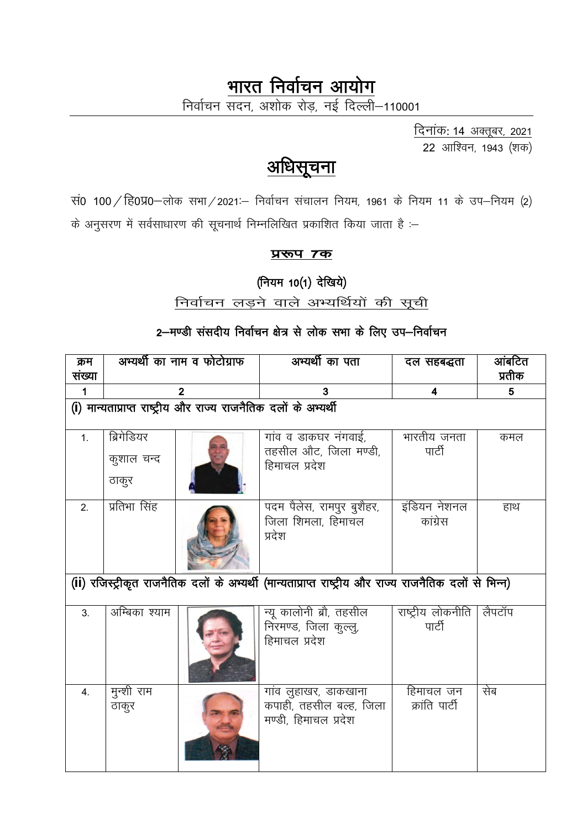# भारत निर्वाचन आयोग

निर्वाचन सदन, अशोक रोड़, नई दिल्ली–110001

दिनांक: 14 अक्तूबर, 2021 22 आश्विन, 1943 (शक)

# <u>अधिसूचना</u>

सं0 100 / हि0प्र0-लोक सभा / 2021 :- निर्वाचन संचालन नियम, 1961 के नियम 11 के उप-नियम (2) के अनुसरण में सर्वसाधारण की सूचनार्थ निम्नलिखित प्रकाशित किया जाता है :-

प्ररूप 7क

(नियम 10(1) देखिये)

## निर्वाचन लड़ने वाले अभ्यर्थियों की सूची

## 2–मण्डी संसदीय निर्वाचन क्षेत्र से लोक सभा के लिए उप–निर्वाचन

| क्रम<br>संख्या | अभ्यर्थी का नाम व फोटोग्राफ                                                                            |  | अभ्यर्थी का पता                                                           | दल सहबद्धता                   | आंबटित<br>प्रतीक |  |  |
|----------------|--------------------------------------------------------------------------------------------------------|--|---------------------------------------------------------------------------|-------------------------------|------------------|--|--|
| 1              | $\overline{2}$                                                                                         |  | 3                                                                         | 4                             | 5                |  |  |
|                | (i) मान्यताप्राप्त राष्ट्रीय और राज्य राजनैतिक दलों के अभ्यर्थी                                        |  |                                                                           |                               |                  |  |  |
| 1.             | ब्रिगेडियर<br>कुशाल चन्द<br>ठाकुर                                                                      |  | गांव व डाकघर नंगवाई,<br>तहसील औट, जिला मण्डी,<br>हिमाचल प्रदेश            | भारतीय जनता<br>पार्टी         | कमल              |  |  |
| 2.             | प्रतिभा सिंह                                                                                           |  | पदम पैलेस, रामपुर बुशैहर,<br>जिला शिमला, हिमाचल<br>प्रदेश                 | इंडियन नेशनल<br>कांग्रेस      | हाथ              |  |  |
|                | (ii) रजिस्ट्रीकृत राजनैतिक दलों के अभ्यर्थी (मान्यताप्राप्त राष्ट्रीय और राज्य राजनैतिक दलों से भिन्न) |  |                                                                           |                               |                  |  |  |
| 3 <sub>1</sub> | अम्बिका श्याम                                                                                          |  | न्यू कालोनी ब्रौ, तहसील<br>निरमण्ड, जिला कुल्लू,<br>हिमाचल प्रदेश         | राष्ट्रीय लोकनीति  <br>पार्टी | लैपटॉप           |  |  |
| 4.             | मुन्शी राम<br>ठाकुर                                                                                    |  | गांव लुहाखर, डाकखाना<br>कपाही, तहसील बल्ह, जिला  <br>मण्डी, हिमाचल प्रदेश | हिमाचल जन<br>क्रांति पार्टी   | सेब              |  |  |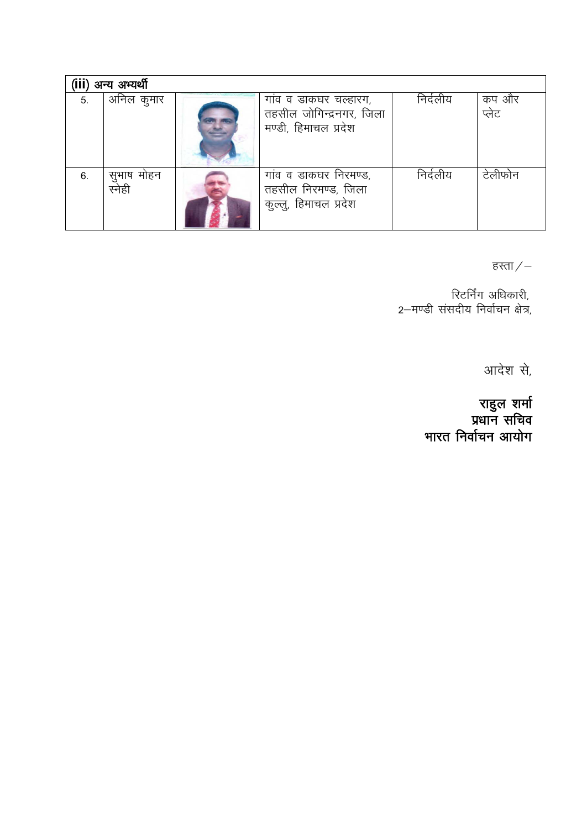| अन्य अभ्यर्थी |                      |  |                                                                           |          |                |
|---------------|----------------------|--|---------------------------------------------------------------------------|----------|----------------|
| 5.            | अनिल कुमार           |  | गांव व डाकघर चल्हारग,<br>तहसील जोगिन्द्रनगर, जिला<br>मण्डी, हिमाचल प्रदेश | निर्दलीय | कप और<br>प्लेट |
| 6.            | सुभाष मोहन<br>स्नेही |  | गांव व डाकघर निरमण्ड,<br>तहसील निरमण्ड, जिला<br>कुल्लु, हिमाचल प्रदेश     | निर्दलीय | टेलीफोन        |

हस्ता $\mathcal{L}-$ 

,रिटर्निंग अधिकारी<br>,2—मण्डी संसदीय निर्वाचन क्षेत्र

आदेश से,

राहुल शर्मा<br>प्रधान सचिव<br>भारत निर्वाचन आयोग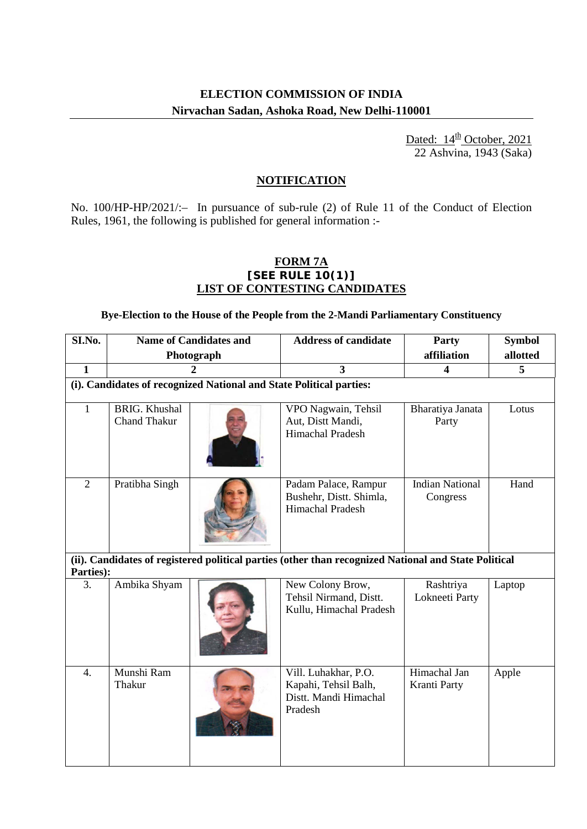### **ELECTION COMMISSION OF INDIA Nirvachan Sadan, Ashoka Road, New Delhi-110001**

Dated: 14<sup>th</sup> 22 Ashvina, 1943 (Saka) October, 2021

### **NOTIFICATION**

No. 100/HP-HP/2021/:– In pursuance of sub-rule (2) of Rule 11 of the Conduct of Election Rules, 1961, the following is published for general information :-

#### **FORM 7A [SEE RULE 10(1)] LIST OF CONTESTING CANDIDATES**

**Bye-Election to the House of the People from the 2-Mandi Parliamentary Constituency**

| SI.No.                                                                                                            | <b>Name of Candidates and</b>               |  | <b>Address of candidate</b>                                                      | Party                              | <b>Symbol</b> |  |
|-------------------------------------------------------------------------------------------------------------------|---------------------------------------------|--|----------------------------------------------------------------------------------|------------------------------------|---------------|--|
|                                                                                                                   | Photograph                                  |  |                                                                                  | affiliation                        | allotted      |  |
| $\mathbf{1}$                                                                                                      | $\mathbf{2}$                                |  | $\overline{\mathbf{3}}$                                                          | 4                                  | 5             |  |
| (i). Candidates of recognized National and State Political parties:                                               |                                             |  |                                                                                  |                                    |               |  |
| $\mathbf{1}$                                                                                                      | <b>BRIG.</b> Khushal<br><b>Chand Thakur</b> |  | VPO Nagwain, Tehsil<br>Aut, Distt Mandi,<br>Himachal Pradesh                     | Bharatiya Janata<br>Party          | Lotus         |  |
| $\overline{2}$                                                                                                    | Pratibha Singh                              |  | Padam Palace, Rampur<br>Bushehr, Distt. Shimla,<br><b>Himachal Pradesh</b>       | <b>Indian National</b><br>Congress | Hand          |  |
| (ii). Candidates of registered political parties (other than recognized National and State Political<br>Parties): |                                             |  |                                                                                  |                                    |               |  |
| 3.                                                                                                                | Ambika Shyam                                |  | New Colony Brow,<br>Tehsil Nirmand, Distt.<br>Kullu, Himachal Pradesh            | Rashtriya<br>Lokneeti Party        | Laptop        |  |
| $\overline{4}$ .                                                                                                  | Munshi Ram<br>Thakur                        |  | Vill. Luhakhar, P.O.<br>Kapahi, Tehsil Balh,<br>Distt. Mandi Himachal<br>Pradesh | Himachal Jan<br>Kranti Party       | Apple         |  |